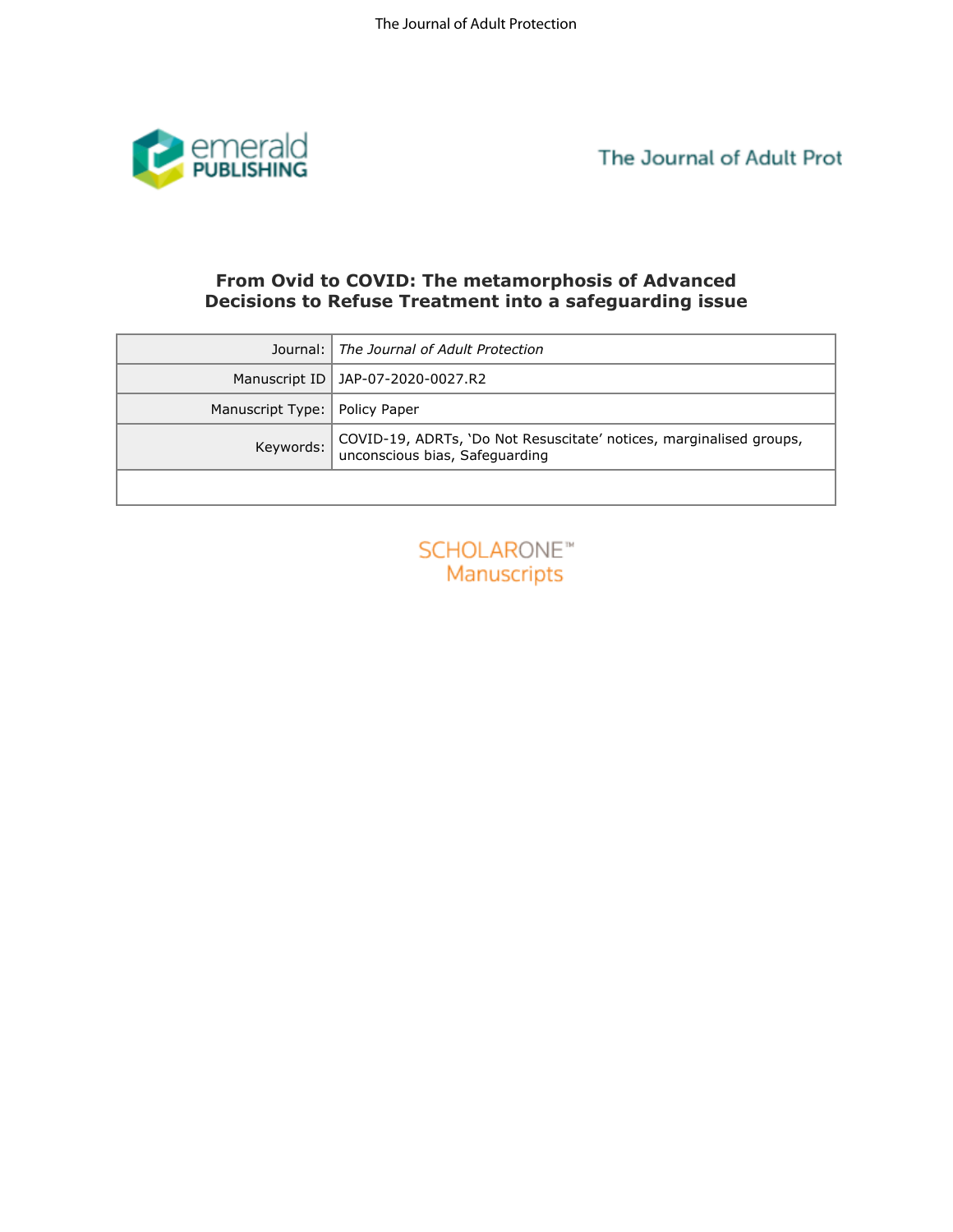

# From Ovid to COVID: The metamorphosis of Advanced<br>Decisions to Refuse Treatment into a safeguarding issue

| From Ovid to COVID: The metamorphosis of Advanced<br>Decisions to Refuse Treatment into a safeguarding issue |                                                                                                       |
|--------------------------------------------------------------------------------------------------------------|-------------------------------------------------------------------------------------------------------|
| Journal:                                                                                                     | The Journal of Adult Protection                                                                       |
| Manuscript ID                                                                                                | JAP-07-2020-0027.R2                                                                                   |
| Manuscript Type:                                                                                             | Policy Paper                                                                                          |
| Keywords:                                                                                                    | COVID-19, ADRTs, 'Do Not Resuscitate' notices, marginalised groups,<br>unconscious bias, Safeguarding |
|                                                                                                              |                                                                                                       |
|                                                                                                              | <b>SCHOLARONE™</b><br>Manuscripts                                                                     |
|                                                                                                              |                                                                                                       |
|                                                                                                              |                                                                                                       |
|                                                                                                              |                                                                                                       |

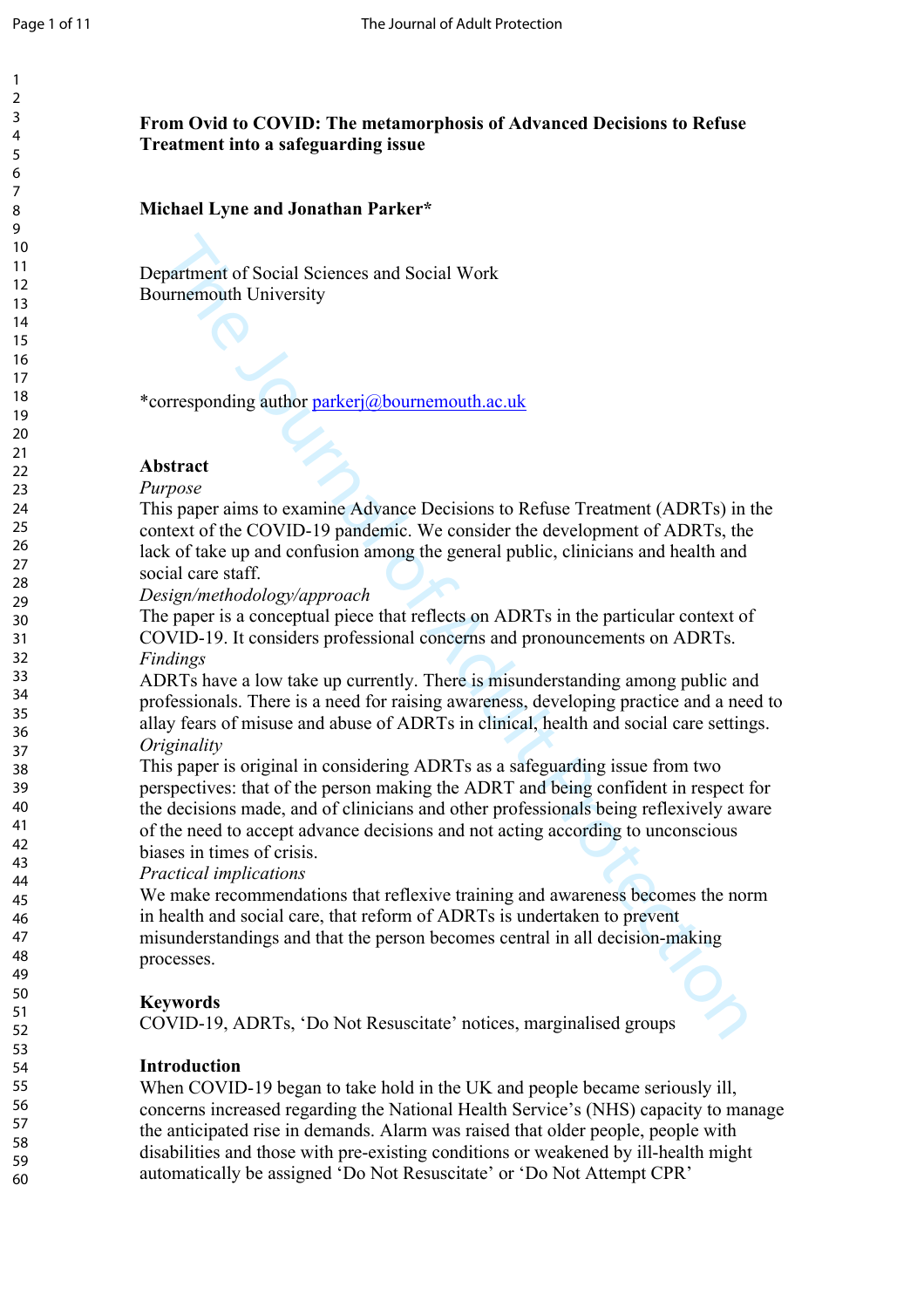## **From Ovid to COVID: The metamorphosis of Advanced Decisions to Refuse Treatment into a safeguarding issue**

## **Michael Lyne and Jonathan Parker\***

Department of Social Sciences and Social Work Bournemouth University

\*corresponding author parkerj@bournemouth.ac.uk

## **Abstract**

#### *Purpose*

This paper aims to examine Advance Decisions to Refuse Treatment (ADRTs) in the context of the COVID-19 pandemic. We consider the development of ADRTs, the lack of take up and confusion among the general public, clinicians and health and social care staff.

#### *Design/methodology/approach*

The paper is a conceptual piece that reflects on ADRTs in the particular context of COVID-19. It considers professional concerns and pronouncements on ADRTs. *Findings*

ADRTs have a low take up currently. There is misunderstanding among public and professionals. There is a need for raising awareness, developing practice and a need to allay fears of misuse and abuse of ADRTs in clinical, health and social care settings. *Originality*

partment of Social Sciences and Social Work<br>
v[u](mailto:parkerj@bournemouth.ac.uk)memouth University<br>
vumemouth University<br>
protections and the Value Covince of the COVID-19 panelein<br>
interact of the COVID-19 paneleinic. We consider the development of ADKTs This paper is original in considering ADRTs as a safeguarding issue from two perspectives: that of the person making the ADRT and being confident in respect for the decisions made, and of clinicians and other professionals being reflexively aware of the need to accept advance decisions and not acting according to unconscious biases in times of crisis.

#### *Practical implications*

We make recommendations that reflexive training and awareness becomes the norm in health and social care, that reform of ADRTs is undertaken to prevent misunderstandings and that the person becomes central in all decision-making processes.

#### **Keywords**

COVID-19, ADRTs, 'Do Not Resuscitate' notices, marginalised groups

#### **Introduction**

When COVID-19 began to take hold in the UK and people became seriously ill, concerns increased regarding the National Health Service's (NHS) capacity to manage the anticipated rise in demands. Alarm was raised that older people, people with disabilities and those with pre-existing conditions or weakened by ill-health might automatically be assigned 'Do Not Resuscitate' or 'Do Not Attempt CPR'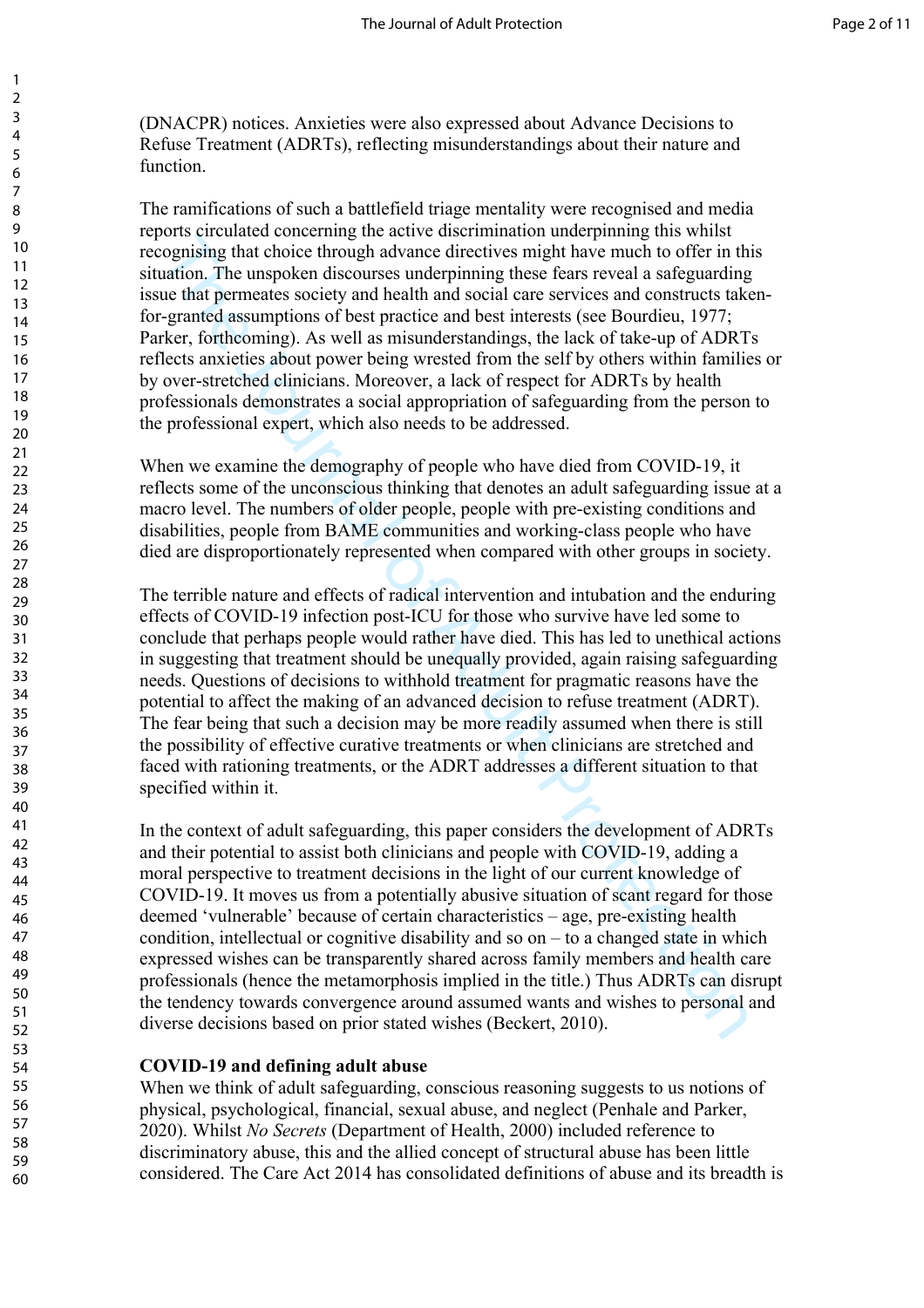(DNACPR) notices. Anxieties were also expressed about Advance Decisions to Refuse Treatment (ADRTs), reflecting misunderstandings about their nature and function.

The ramifications of such a battlefield triage mentality were recognised and media reports circulated concerning the active discrimination underpinning this whilst recognising that choice through advance directives might have much to offer in this situation. The unspoken discourses underpinning these fears reveal a safeguarding issue that permeates society and health and social care services and constructs takenfor-granted assumptions of best practice and best interests (see Bourdieu, 1977; Parker, forthcoming). As well as misunderstandings, the lack of take-up of ADRTs reflects anxieties about power being wrested from the self by others within families or by over-stretched clinicians. Moreover, a lack of respect for ADRTs by health professionals demonstrates a social appropriation of safeguarding from the person to the professional expert, which also needs to be addressed.

When we examine the demography of people who have died from COVID-19, it reflects some of the unconscious thinking that denotes an adult safeguarding issue at a macro level. The numbers of older people, people with pre-existing conditions and disabilities, people from BAME communities and working-class people who have died are disproportionately represented when compared with other groups in society.

The terrible nature and effects of radical intervention and intubation and the enduring effects of COVID-19 infection post-ICU for those who survive have led some to conclude that perhaps people would rather have died. This has led to unethical actions in suggesting that treatment should be unequally provided, again raising safeguarding needs. Questions of decisions to withhold treatment for pragmatic reasons have the potential to affect the making of an advanced decision to refuse treatment (ADRT). The fear being that such a decision may be more readily assumed when there is still the possibility of effective curative treatments or when clinicians are stretched and faced with rationing treatments, or the ADRT addresses a different situation to that specified within it.

For a socialized conscienting to a street and marrial consisting that winds the distinguion. The unspected as forecast preceding that those through a the time the toffer in the unstanting that the constrained assumptions o In the context of adult safeguarding, this paper considers the development of ADRTs and their potential to assist both clinicians and people with COVID-19, adding a moral perspective to treatment decisions in the light of our current knowledge of COVID-19. It moves us from a potentially abusive situation of scant regard for those deemed 'vulnerable' because of certain characteristics – age, pre-existing health condition, intellectual or cognitive disability and so on  $-$  to a changed state in which expressed wishes can be transparently shared across family members and health care professionals (hence the metamorphosis implied in the title.) Thus ADRTs can disrupt the tendency towards convergence around assumed wants and wishes to personal and diverse decisions based on prior stated wishes (Beckert, 2010).

#### **COVID-19 and defining adult abuse**

When we think of adult safeguarding, conscious reasoning suggests to us notions of physical, psychological, financial, sexual abuse, and neglect (Penhale and Parker, 2020). Whilst *No Secrets* (Department of Health, 2000) included reference to discriminatory abuse, this and the allied concept of structural abuse has been little considered. The Care Act 2014 has consolidated definitions of abuse and its breadth is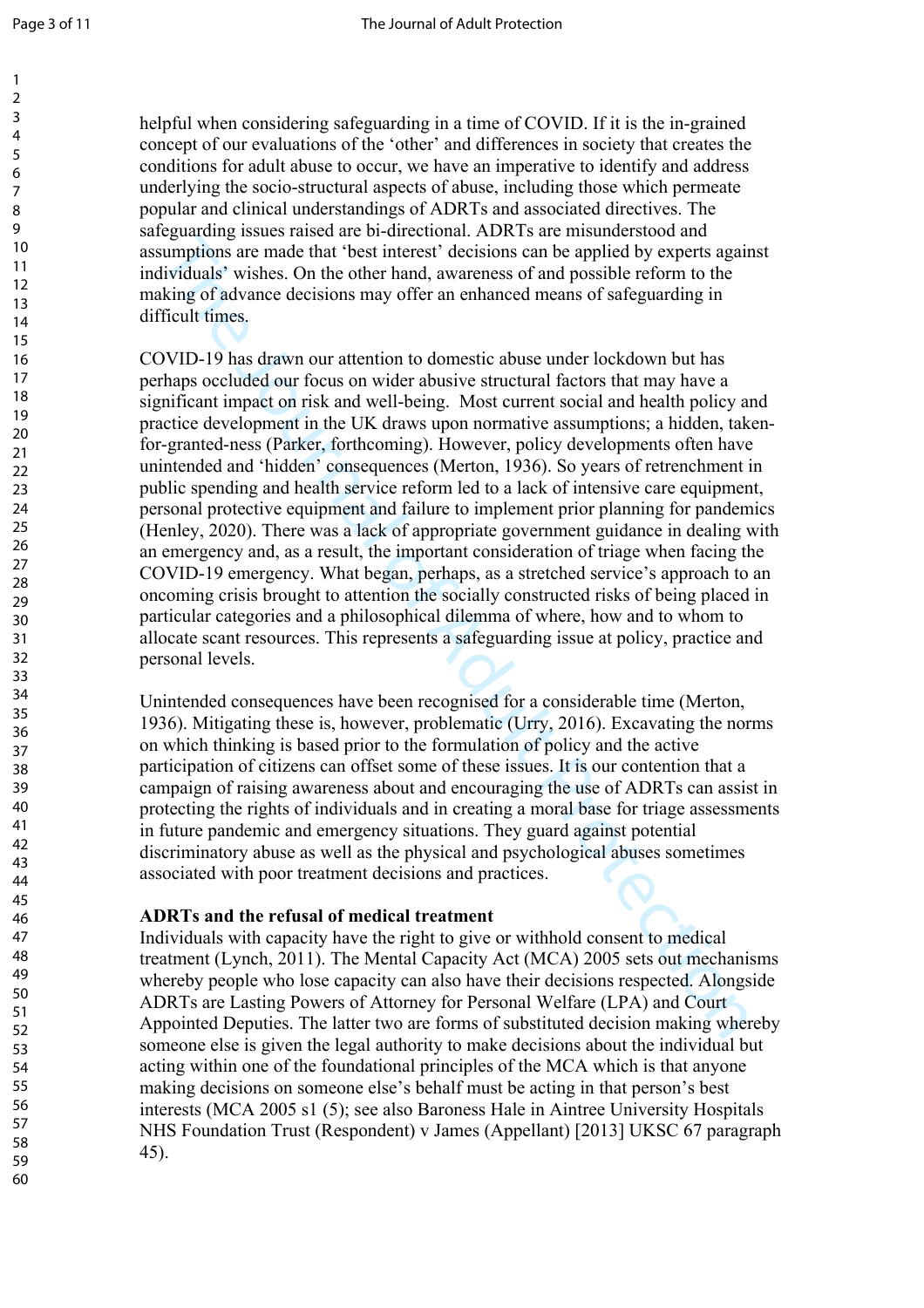60

helpful when considering safeguarding in a time of COVID. If it is the in-grained concept of our evaluations of the 'other' and differences in society that creates the conditions for adult abuse to occur, we have an imperative to identify and address underlying the socio-structural aspects of abuse, including those which permeate popular and clinical understandings of ADRTs and associated directives. The safeguarding issues raised are bi-directional. ADRTs are misunderstood and assumptions are made that 'best interest' decisions can be applied by experts against individuals' wishes. On the other hand, awareness of and possible reform to the making of advance decisions may offer an enhanced means of safeguarding in difficult times.

expansion states of the other control and the relation of the relation of states and the relation of the relation of the relation of the relation of the relation of the relation of the relation of the field by experts agai COVID-19 has drawn our attention to domestic abuse under lockdown but has perhaps occluded our focus on wider abusive structural factors that may have a significant impact on risk and well-being. Most current social and health policy and practice development in the UK draws upon normative assumptions; a hidden, takenfor-granted-ness (Parker, forthcoming). However, policy developments often have unintended and 'hidden' consequences (Merton, 1936). So years of retrenchment in public spending and health service reform led to a lack of intensive care equipment, personal protective equipment and failure to implement prior planning for pandemics (Henley, 2020). There was a lack of appropriate government guidance in dealing with an emergency and, as a result, the important consideration of triage when facing the COVID-19 emergency. What began, perhaps, as a stretched service's approach to an oncoming crisis brought to attention the socially constructed risks of being placed in particular categories and a philosophical dilemma of where, how and to whom to allocate scant resources. This represents a safeguarding issue at policy, practice and personal levels.

Unintended consequences have been recognised for a considerable time (Merton, 1936). Mitigating these is, however, problematic (Urry, 2016). Excavating the norms on which thinking is based prior to the formulation of policy and the active participation of citizens can offset some of these issues. It is our contention that a campaign of raising awareness about and encouraging the use of ADRTs can assist in protecting the rights of individuals and in creating a moral base for triage assessments in future pandemic and emergency situations. They guard against potential discriminatory abuse as well as the physical and psychological abuses sometimes associated with poor treatment decisions and practices.

# **ADRTs and the refusal of medical treatment**

Individuals with capacity have the right to give or withhold consent to medical treatment (Lynch, 2011). The Mental Capacity Act (MCA) 2005 sets out mechanisms whereby people who lose capacity can also have their decisions respected. Alongside ADRTs are Lasting Powers of Attorney for Personal Welfare (LPA) and Court Appointed Deputies. The latter two are forms of substituted decision making whereby someone else is given the legal authority to make decisions about the individual but acting within one of the foundational principles of the MCA which is that anyone making decisions on someone else's behalf must be acting in that person's best interests (MCA 2005 s1 (5); see also Baroness Hale in Aintree University Hospitals NHS Foundation Trust (Respondent) v James (Appellant) [2013] UKSC 67 paragraph 45).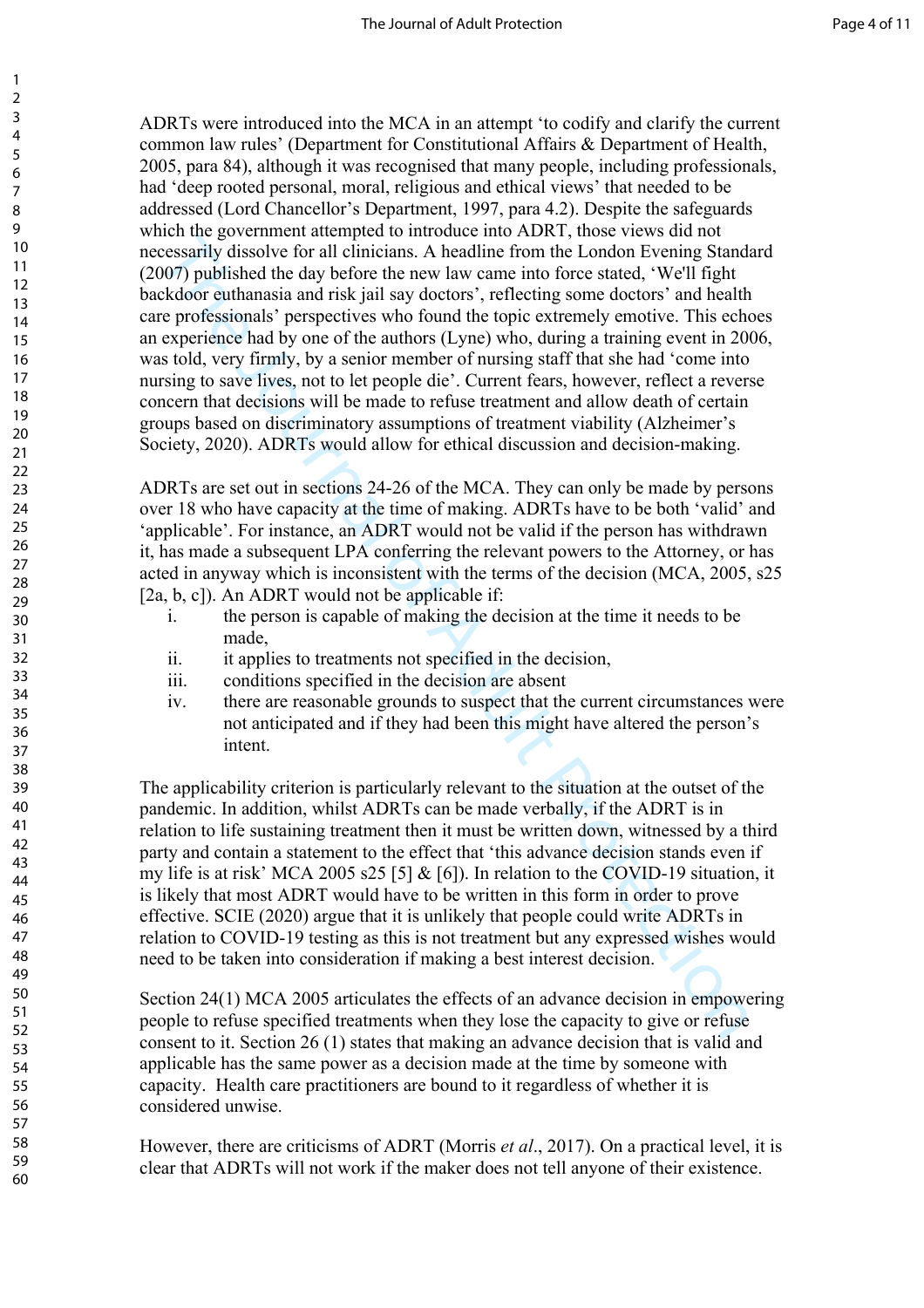entral governmental and species of whomevolume that that the system and the system and the both of DVD published the day before the new law cannot elast (Well fight or entherains and risk juli sy decelving smallen from the ADRTs were introduced into the MCA in an attempt 'to codify and clarify the current common law rules' (Department for Constitutional Affairs & Department of Health, 2005, para 84), although it was recognised that many people, including professionals, had 'deep rooted personal, moral, religious and ethical views' that needed to be addressed (Lord Chancellor's Department, 1997, para 4.2). Despite the safeguards which the government attempted to introduce into ADRT, those views did not necessarily dissolve for all clinicians. A headline from the London Evening Standard (2007) published the day before the new law came into force stated, 'We'll fight backdoor euthanasia and risk jail say doctors', reflecting some doctors' and health care professionals' perspectives who found the topic extremely emotive. This echoes an experience had by one of the authors (Lyne) who, during a training event in 2006, was told, very firmly, by a senior member of nursing staff that she had 'come into nursing to save lives, not to let people die'. Current fears, however, reflect a reverse concern that decisions will be made to refuse treatment and allow death of certain groups based on discriminatory assumptions of treatment viability (Alzheimer's Society, 2020). ADRTs would allow for ethical discussion and decision-making.

ADRTs are set out in sections 24-26 of the MCA. They can only be made by persons over 18 who have capacity at the time of making. ADRTs have to be both 'valid' and 'applicable'. For instance, an ADRT would not be valid if the person has withdrawn it, has made a subsequent LPA conferring the relevant powers to the Attorney, or has acted in anyway which is inconsistent with the terms of the decision (MCA, 2005, s25 [2a, b, c]). An ADRT would not be applicable if:

- i. the person is capable of making the decision at the time it needs to be made,
- ii. it applies to treatments not specified in the decision,
- iii. conditions specified in the decision are absent
- iv. there are reasonable grounds to suspect that the current circumstances were not anticipated and if they had been this might have altered the person's intent.

The applicability criterion is particularly relevant to the situation at the outset of the pandemic. In addition, whilst ADRTs can be made verbally, if the ADRT is in relation to life sustaining treatment then it must be written down, witnessed by a third party and contain a statement to the effect that 'this advance decision stands even if my life is at risk' MCA 2005 s25 [5] & [6]). In relation to the COVID-19 situation, it is likely that most ADRT would have to be written in this form in order to prove effective. SCIE (2020) argue that it is unlikely that people could write ADRTs in relation to COVID-19 testing as this is not treatment but any expressed wishes would need to be taken into consideration if making a best interest decision.

Section 24(1) MCA 2005 articulates the effects of an advance decision in empowering people to refuse specified treatments when they lose the capacity to give or refuse consent to it. Section 26 (1) states that making an advance decision that is valid and applicable has the same power as a decision made at the time by someone with capacity. Health care practitioners are bound to it regardless of whether it is considered unwise.

However, there are criticisms of ADRT (Morris *et al*., 2017). On a practical level, it is clear that ADRTs will not work if the maker does not tell anyone of their existence.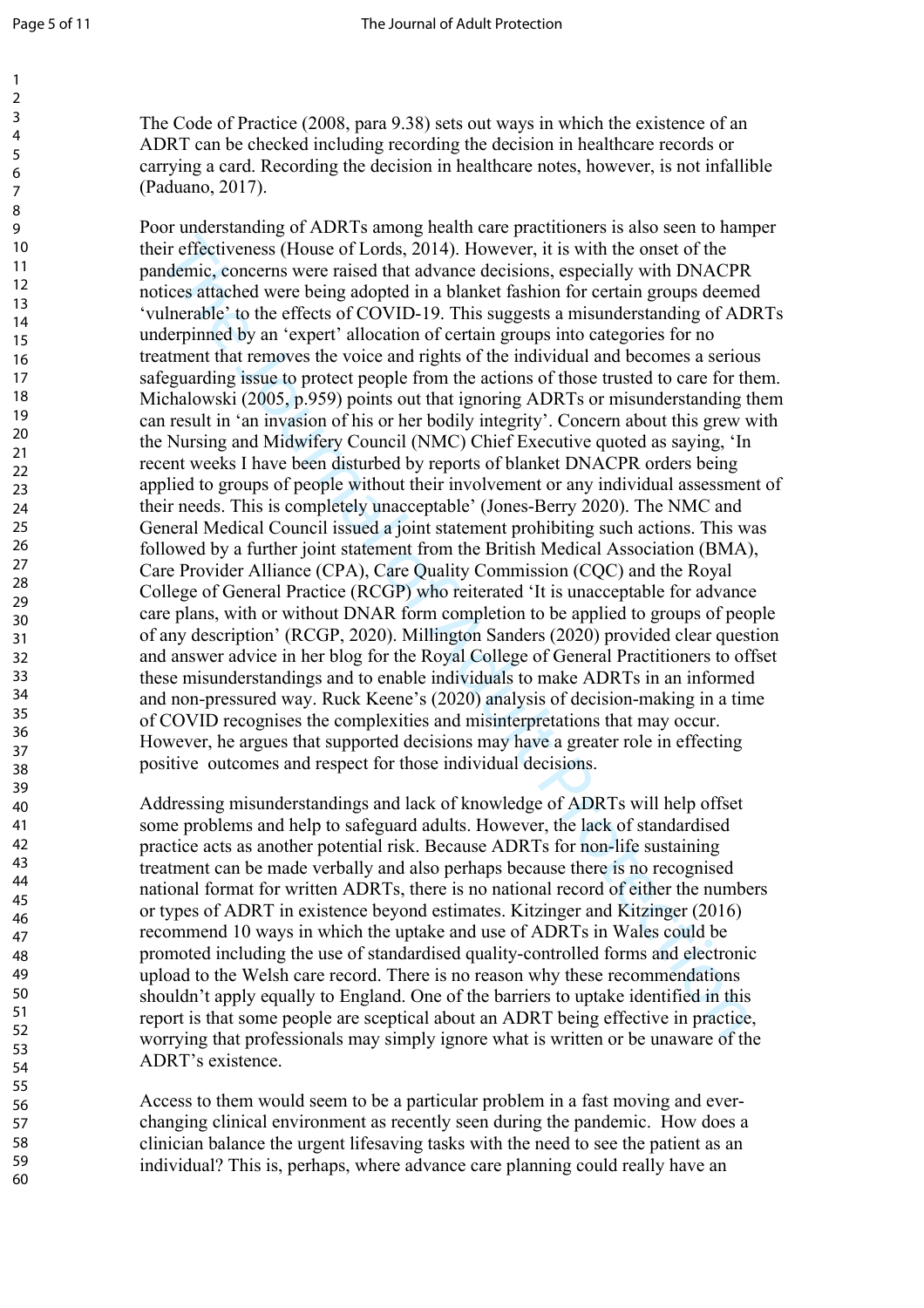The Code of Practice (2008, para 9.38) sets out ways in which the existence of an ADRT can be checked including recording the decision in healthcare records or carrying a card. Recording the decision in healthcare notes, however, is not infallible (Paduano, 2017).

ET effectiveness (House of Lords, 2014). However, it is with the onset of the<br>defined inference are stated that a divare decisions, especially with DNACPR<br>ties attached were being adopted in a blanker fashion for certain Poor understanding of ADRTs among health care practitioners is also seen to hamper their effectiveness (House of Lords, 2014). However, it is with the onset of the pandemic, concerns were raised that advance decisions, especially with DNACPR notices attached were being adopted in a blanket fashion for certain groups deemed 'vulnerable' to the effects of COVID-19. This suggests a misunderstanding of ADRTs underpinned by an 'expert' allocation of certain groups into categories for no treatment that removes the voice and rights of the individual and becomes a serious safeguarding issue to protect people from the actions of those trusted to care for them. Michalowski (2005, p.959) points out that ignoring ADRTs or misunderstanding them can result in 'an invasion of his or her bodily integrity'. Concern about this grew with the Nursing and Midwifery Council (NMC) Chief Executive quoted as saying, 'In recent weeks I have been disturbed by reports of blanket DNACPR orders being applied to groups of people without their involvement or any individual assessment of their needs. This is completely unacceptable' (Jones-Berry 2020). The NMC and General Medical Council issued a joint statement prohibiting such actions. This was followed by a further joint statement from the British Medical Association (BMA), Care Provider Alliance (CPA), Care Quality Commission (CQC) and the Royal College of General Practice (RCGP) who reiterated 'It is unacceptable for advance care plans, with or without DNAR form completion to be applied to groups of people of any description' (RCGP, 2020). Millington Sanders (2020) provided clear question and answer advice in her blog for the Royal College of General Practitioners to offset these misunderstandings and to enable individuals to make ADRTs in an informed and non-pressured way. Ruck Keene's (2020) analysis of decision-making in a time of COVID recognises the complexities and misinterpretations that may occur. However, he argues that supported decisions may have a greater role in effecting positive outcomes and respect for those individual decisions.

Addressing misunderstandings and lack of knowledge of ADRTs will help offset some problems and help to safeguard adults. However, the lack of standardised practice acts as another potential risk. Because ADRTs for non-life sustaining treatment can be made verbally and also perhaps because there is no recognised national format for written ADRTs, there is no national record of either the numbers or types of ADRT in existence beyond estimates. Kitzinger and Kitzinger (2016) recommend 10 ways in which the uptake and use of ADRTs in Wales could be promoted including the use of standardised quality-controlled forms and electronic upload to the Welsh care record. There is no reason why these recommendations shouldn't apply equally to England. One of the barriers to uptake identified in this report is that some people are sceptical about an ADRT being effective in practice, worrying that professionals may simply ignore what is written or be unaware of the ADRT's existence.

Access to them would seem to be a particular problem in a fast moving and everchanging clinical environment as recently seen during the pandemic. How does a clinician balance the urgent lifesaving tasks with the need to see the patient as an individual? This is, perhaps, where advance care planning could really have an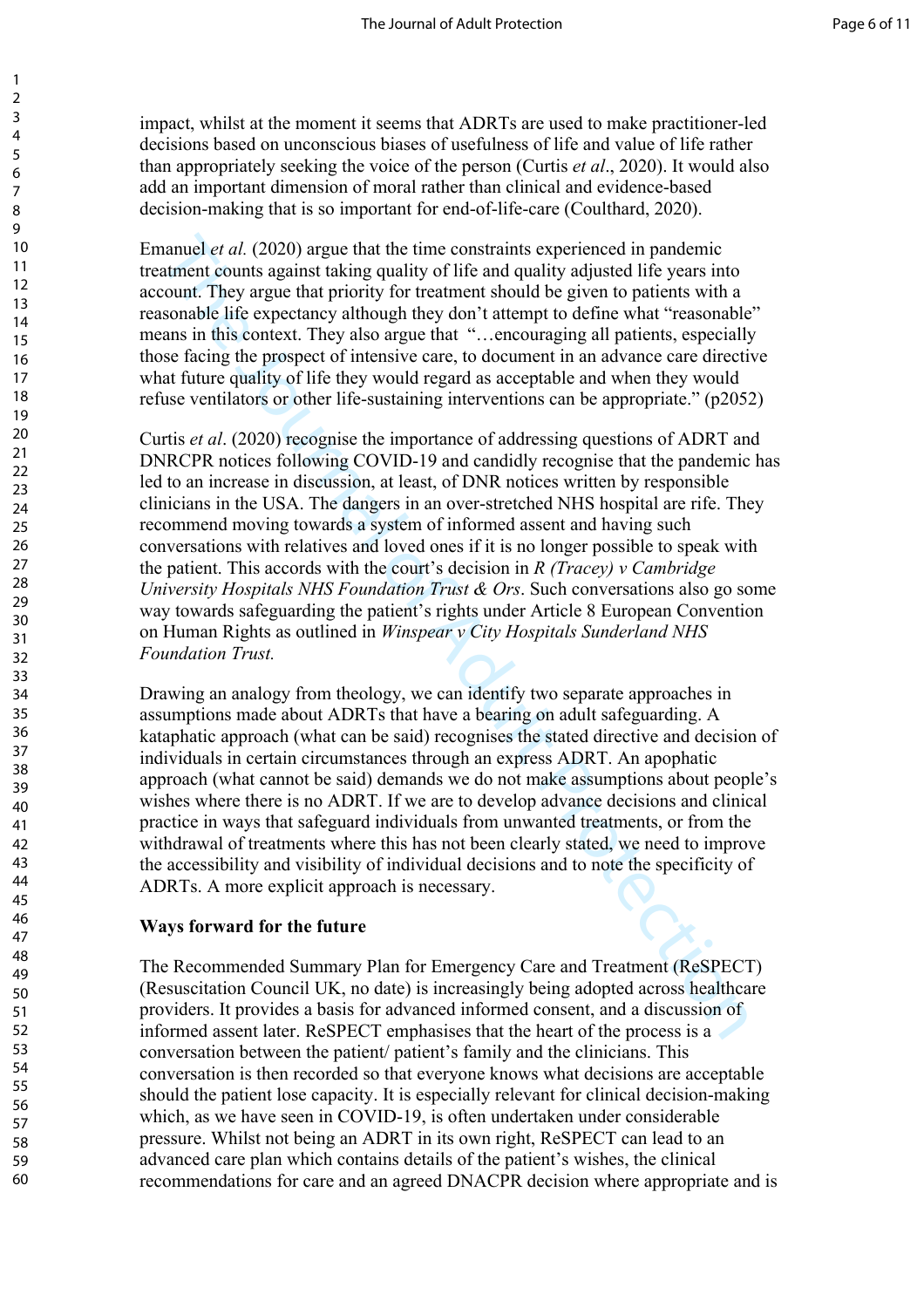impact, whilst at the moment it seems that ADRTs are used to make practitioner-led decisions based on unconscious biases of usefulness of life and value of life rather than appropriately seeking the voice of the person (Curtis *et al*., 2020). It would also add an important dimension of moral rather than clinical and evidence-based decision-making that is so important for end-of-life-care (Coulthard, 2020).

Emanuel *et al.* (2020) argue that the time constraints experienced in pandemic treatment counts against taking quality of life and quality adjusted life years into account. They argue that priority for treatment should be given to patients with a reasonable life expectancy although they don't attempt to define what "reasonable" means in this context. They also argue that "…encouraging all patients, especially those facing the prospect of intensive care, to document in an advance care directive what future quality of life they would regard as acceptable and when they would refuse ventilators or other life-sustaining interventions can be appropriate." (p2052)

namuel *et al.* (2020) argue that the time constraints experienced in pandemic<br>attent counts against taking quality of life and quality of lifest of the system to count. They argue that priority for treatment should be giv Curtis *et al*. (2020) recognise the importance of addressing questions of ADRT and DNRCPR notices following COVID-19 and candidly recognise that the pandemic has led to an increase in discussion, at least, of DNR notices written by responsible clinicians in the USA. The dangers in an over-stretched NHS hospital are rife. They recommend moving towards a system of informed assent and having such conversations with relatives and loved ones if it is no longer possible to speak with the patient. This accords with the court's decision in *R (Tracey) v Cambridge University Hospitals NHS Foundation Trust & Ors*. Such conversations also go some way towards safeguarding the patient's rights under Article 8 European Convention on Human Rights as outlined in *Winspear v City Hospitals Sunderland NHS Foundation Trust.*

Drawing an analogy from theology, we can identify two separate approaches in assumptions made about ADRTs that have a bearing on adult safeguarding. A kataphatic approach (what can be said) recognises the stated directive and decision of individuals in certain circumstances through an express ADRT. An apophatic approach (what cannot be said) demands we do not make assumptions about people's wishes where there is no ADRT. If we are to develop advance decisions and clinical practice in ways that safeguard individuals from unwanted treatments, or from the withdrawal of treatments where this has not been clearly stated, we need to improve the accessibility and visibility of individual decisions and to note the specificity of ADRTs. A more explicit approach is necessary.

# **Ways forward for the future**

The Recommended Summary Plan for Emergency Care and Treatment (ReSPECT) (Resuscitation Council UK, no date) is increasingly being adopted across healthcare providers. It provides a basis for advanced informed consent, and a discussion of informed assent later. ReSPECT emphasises that the heart of the process is a conversation between the patient/ patient's family and the clinicians. This conversation is then recorded so that everyone knows what decisions are acceptable should the patient lose capacity. It is especially relevant for clinical decision-making which, as we have seen in COVID-19, is often undertaken under considerable pressure. Whilst not being an ADRT in its own right, ReSPECT can lead to an advanced care plan which contains details of the patient's wishes, the clinical recommendations for care and an agreed DNACPR decision where appropriate and is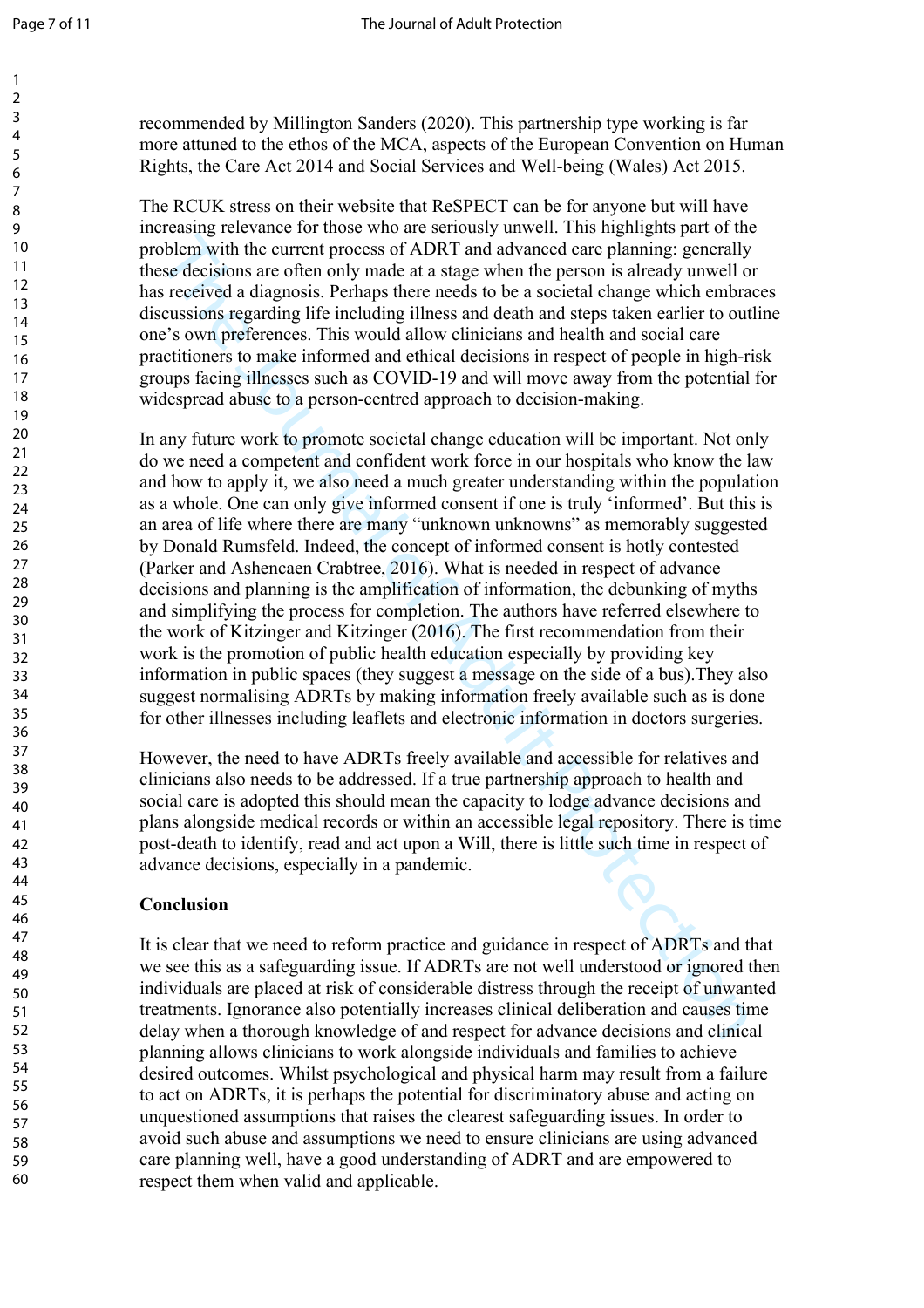recommended by Millington Sanders (2020). This partnership type working is far more attuned to the ethos of the MCA, aspects of the European Convention on Human Rights, the Care Act 2014 and Social Services and Well-being (Wales) Act 2015.

The RCUK stress on their website that ReSPECT can be for anyone but will have increasing relevance for those who are seriously unwell. This highlights part of the problem with the current process of ADRT and advanced care planning: generally these decisions are often only made at a stage when the person is already unwell or has received a diagnosis. Perhaps there needs to be a societal change which embraces discussions regarding life including illness and death and steps taken earlier to outline one's own preferences. This would allow clinicians and health and social care practitioners to make informed and ethical decisions in respect of people in high-risk groups facing illnesses such as COVID-19 and will move away from the potential for widespread abuse to a person-centred approach to decision-making.

blem with the current process of ADRT and advanced care planning: generally<br>oblem with the current process of ADRT and advanced care planning: generally<br>serectived a diagnosis. Perhaps there needs to be a societal change w In any future work to promote societal change education will be important. Not only do we need a competent and confident work force in our hospitals who know the law and how to apply it, we also need a much greater understanding within the population as a whole. One can only give informed consent if one is truly 'informed'. But this is an area of life where there are many "unknown unknowns" as memorably suggested by Donald Rumsfeld. Indeed, the concept of informed consent is hotly contested (Parker and Ashencaen Crabtree, 2016). What is needed in respect of advance decisions and planning is the amplification of information, the debunking of myths and simplifying the process for completion. The authors have referred elsewhere to the work of Kitzinger and Kitzinger (2016). The first recommendation from their work is the promotion of public health education especially by providing key information in public spaces (they suggest a message on the side of a bus).They also suggest normalising ADRTs by making information freely available such as is done for other illnesses including leaflets and electronic information in doctors surgeries.

However, the need to have ADRTs freely available and accessible for relatives and clinicians also needs to be addressed. If a true partnership approach to health and social care is adopted this should mean the capacity to lodge advance decisions and plans alongside medical records or within an accessible legal repository. There is time post-death to identify, read and act upon a Will, there is little such time in respect of advance decisions, especially in a pandemic.

# **Conclusion**

It is clear that we need to reform practice and guidance in respect of ADRTs and that we see this as a safeguarding issue. If ADRTs are not well understood or ignored then individuals are placed at risk of considerable distress through the receipt of unwanted treatments. Ignorance also potentially increases clinical deliberation and causes time delay when a thorough knowledge of and respect for advance decisions and clinical planning allows clinicians to work alongside individuals and families to achieve desired outcomes. Whilst psychological and physical harm may result from a failure to act on ADRTs, it is perhaps the potential for discriminatory abuse and acting on unquestioned assumptions that raises the clearest safeguarding issues. In order to avoid such abuse and assumptions we need to ensure clinicians are using advanced care planning well, have a good understanding of ADRT and are empowered to respect them when valid and applicable.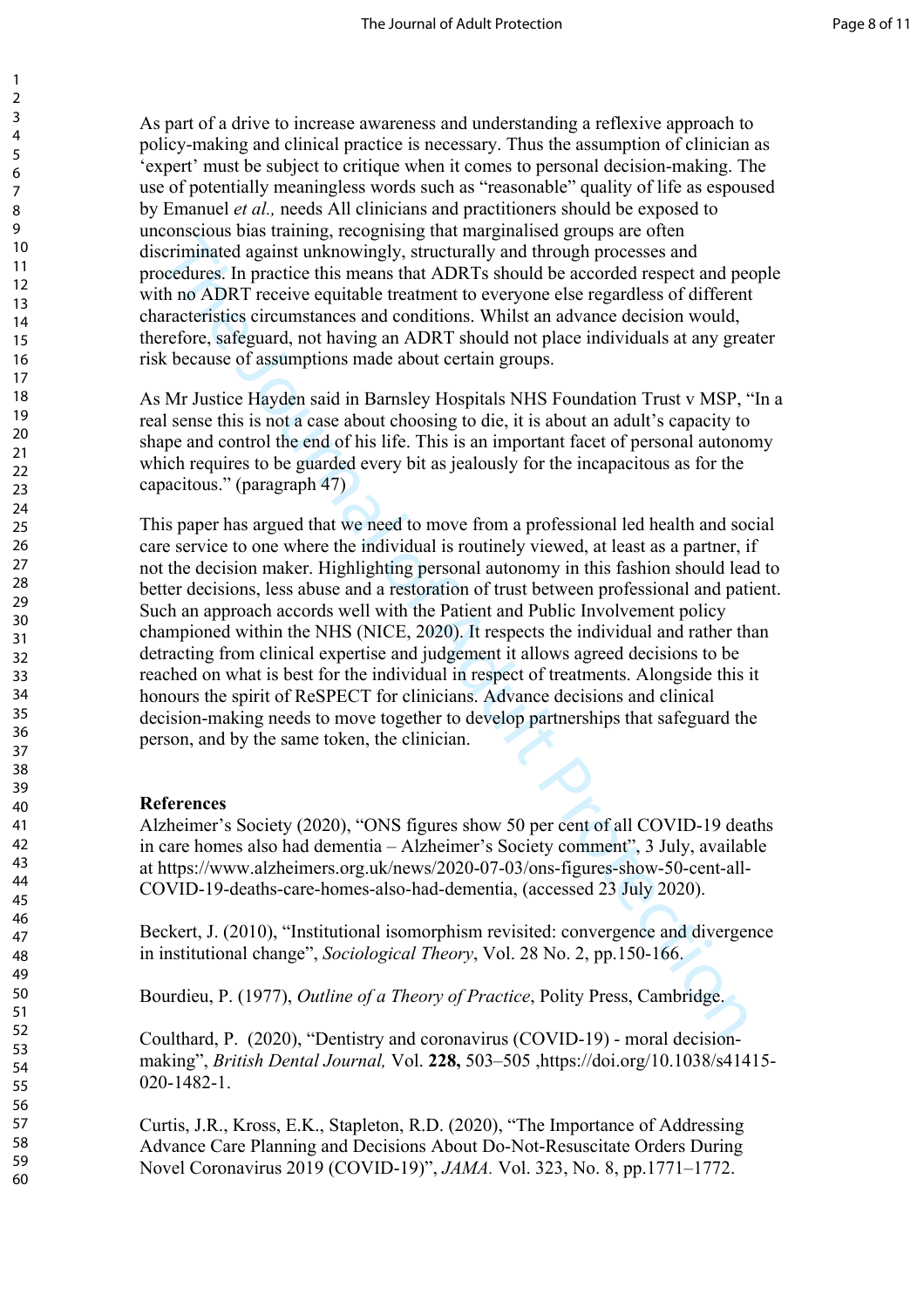As part of a drive to increase awareness and understanding a reflexive approach to policy-making and clinical practice is necessary. Thus the assumption of clinician as 'expert' must be subject to critique when it comes to personal decision-making. The use of potentially meaningless words such as "reasonable" quality of life as espoused by Emanuel *et al.,* needs All clinicians and practitioners should be exposed to unconscious bias training, recognising that marginalised groups are often discriminated against unknowingly, structurally and through processes and procedures. In practice this means that ADRTs should be accorded respect and people with no ADRT receive equitable treatment to everyone else regardless of different characteristics circumstances and conditions. Whilst an advance decision would, therefore, safeguard, not having an ADRT should not place individuals at any greater risk because of assumptions made about certain groups.

As Mr Justice Hayden said in Barnsley Hospitals NHS Foundation Trust v MSP, "In a real sense this is not a case about choosing to die, it is about an adult's capacity to shape and control the end of his life. This is an important facet of personal autonomy which requires to be guarded every bit as jealously for the incapacitous as for the capacitous." (paragraph 47)

consideration and numering interding mathematics given a concerned and throughly are considered to the ADCI should be accorded respect and perceptives fin practice this means that ADCI's should be accorded respect and perc This paper has argued that we need to move from a professional led health and social care service to one where the individual is routinely viewed, at least as a partner, if not the decision maker. Highlighting personal autonomy in this fashion should lead to better decisions, less abuse and a restoration of trust between professional and patient. Such an approach accords well with the Patient and Public Involvement policy championed within the NHS (NICE, 2020). It respects the individual and rather than detracting from clinical expertise and judgement it allows agreed decisions to be reached on what is best for the individual in respect of treatments. Alongside this it honours the spirit of ReSPECT for clinicians. Advance decisions and clinical decision-making needs to move together to develop partnerships that safeguard the person, and by the same token, the clinician.

## **References**

Alzheimer's Society (2020), "ONS figures show 50 per cent of all COVID-19 deaths in care homes also had dementia – Alzheimer's Society comment", 3 July, available at https://www.alzheimers.org.uk/news/2020-07-03/ons-figures-show-50-cent-all-COVID-19-deaths-care-homes-also-had-dementia, (accessed 23 July 2020).

Beckert, J. (2010), "Institutional isomorphism revisited: convergence and divergence in institutional change", *Sociological Theory*, Vol. 28 No. 2, pp.150-166.

Bourdieu, P. (1977), *Outline of a Theory of Practice*, Polity Press, Cambridge.

Coulthard, P. (2020), "Dentistry and coronavirus (COVID-19) - moral decisionmaking", *British Dental Journal,* Vol. **228,** 503–505 ,https://doi.org/10.1038/s41415- 020-1482-1.

Curtis, J.R., Kross, E.K., Stapleton, R.D. (2020), "The Importance of Addressing Advance Care Planning and Decisions About Do-Not-Resuscitate Orders During Novel Coronavirus 2019 (COVID-19)", *JAMA.* Vol. 323, No. 8, pp.1771–1772.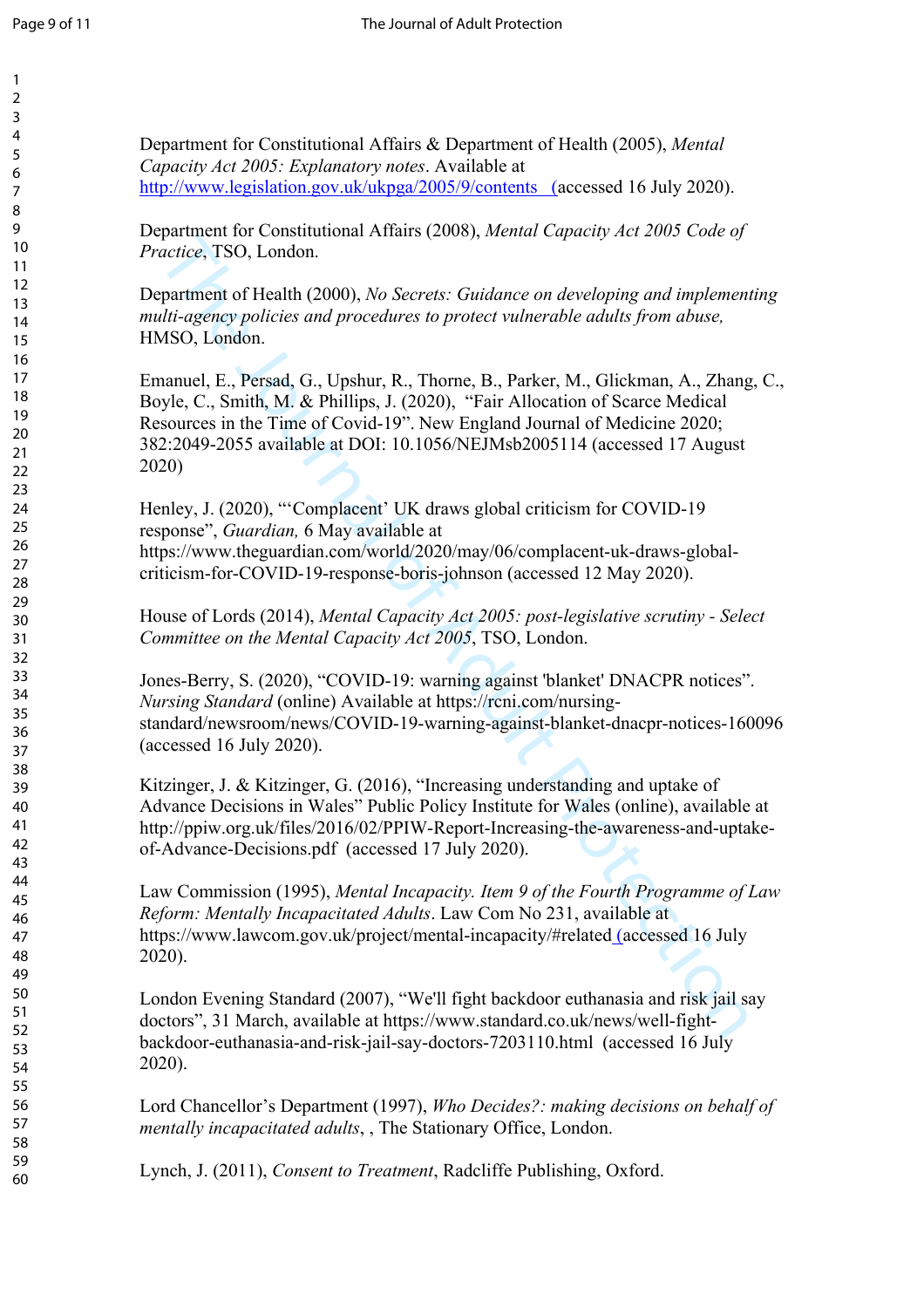Department for Constitutional Affairs & Department of Health (2005), *Mental Capacity Act 2005: Explanatory notes*. Available at http://www.legislation.gov.uk/ukpga/2005/9/contents (accessed 16 July 2020).

Department for Constitutional Affairs (2008), *Mental Capacity Act 2005 Code of Practice*, TSO, London.

Department of Health (2000), *No Secrets: Guidance on developing and implementing multi-agency policies and procedures to protect vulnerable adults from abuse,* HMSO, London.

parametric Content (1980), The Barriston Content Content Research (1981)<br>
active, TSO, London.<br>
Equiver, Figs. and Procedures to protect vulnerable adults from abuse,<br>
equiver, protection and Procedures to protect vulnerab Emanuel, E., Persad, G., Upshur, R., Thorne, B., Parker, M., Glickman, A., Zhang, C., Boyle, C., Smith, M. & Phillips, J. (2020), "Fair Allocation of Scarce Medical Resources in the Time of Covid-19". New England Journal of Medicine 2020; 382:2049-2055 available at DOI: 10.1056/NEJMsb2005114 (accessed 17 August 2020)

Henley, J. (2020), "'Complacent' UK draws global criticism for COVID-19 response", *Guardian,* 6 May available at https://www.theguardian.com/world/2020/may/06/complacent-uk-draws-globalcriticism-for-COVID-19-response-boris-johnson (accessed 12 May 2020).

House of Lords (2014), *Mental Capacity Act 2005: post-legislative scrutiny - Select Committee on the Mental Capacity Act 2005*, TSO, London.

Jones-Berry, S. (2020), "COVID-19: warning against 'blanket' DNACPR notices". *Nursing Standard* (online) Available at https://rcni.com/nursingstandard/newsroom/news/COVID-19-warning-against-blanket-dnacpr-notices-160096 (accessed 16 July 2020).

Kitzinger, J. & Kitzinger, G. (2016), "Increasing understanding and uptake of Advance Decisions in Wales" Public Policy Institute for Wales (online), available at http://ppiw.org.uk/files/2016/02/PPIW-Report-Increasing-the-awareness-and-uptakeof-Advance-Decisions.pdf (accessed 17 July 2020).

Law Commission (1995), *Mental Incapacity. Item 9 of the Fourth Programme of Law Reform: Mentally Incapacitated Adults*. Law Com No 231, available at https://www.lawcom.gov.uk/project/mental-incapacity/#related (accessed 16 July 2020).

London Evening Standard (2007), "We'll fight backdoor euthanasia and risk jail say doctors", 31 March, available at https://www.standard.co.uk/news/well-fightbackdoor-euthanasia-and-risk-jail-say-doctors-7203110.html (accessed 16 July 2020).

Lord Chancellor's Department (1997), *Who Decides?: making decisions on behalf of mentally incapacitated adults*, , The Stationary Office, London.

Lynch, J. (2011), *Consent to Treatment*, Radcliffe Publishing, Oxford.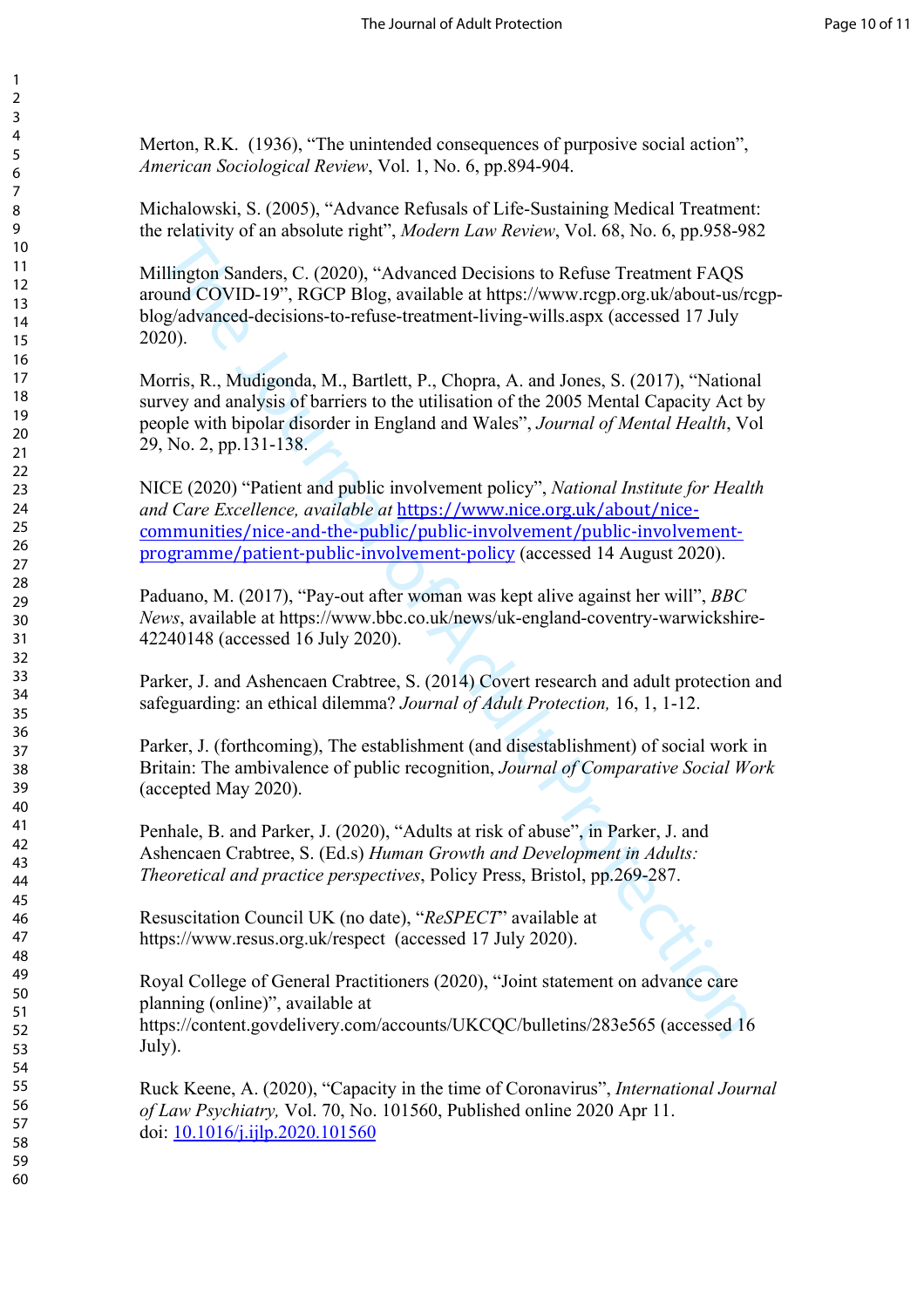Merton, R.K. (1936), "The unintended consequences of purposive social action", *American Sociological Review*, Vol. 1, No. 6, pp.894-904.

Michalowski, S. (2005), "Advance Refusals of Life-Sustaining Medical Treatment: the relativity of an absolute right", *Modern Law Review*, Vol. 68, No. 6, pp.958-982

The Journ[al o](https://www.nice.org.uk/about/nice-communities/nice-and-the-public/public-involvement/public-involvement-programme/patient-public-involvement-policy)f Adult Protection Millington Sanders, C. (2020), "Advanced Decisions to Refuse Treatment FAQS around COVID-19", RGCP Blog, available at https://www.rcgp.org.uk/about-us/rcgpblog/advanced-decisions-to-refuse-treatment-living-wills.aspx (accessed 17 July 2020).

Morris, R., Mudigonda, M., Bartlett, P., Chopra, A. and Jones, S. (2017), "National survey and analysis of barriers to the utilisation of the 2005 Mental Capacity Act by people with bipolar disorder in England and Wales", *Journal of Mental Health*, Vol 29, No. 2, pp.131-138.

NICE (2020) "Patient and public involvement policy", *National Institute for Health and Care Excellence, available at* https://www.nice.org.uk/about/nicecommunities/nice-and-the-public/public-involvement/public-involvementprogramme/patient-public-involvement-policy (accessed 14 August 2020).

Paduano, M. (2017), "Pay-out after woman was kept alive against her will", *BBC News*, available at https://www.bbc.co.uk/news/uk-england-coventry-warwickshire-42240148 (accessed 16 July 2020).

Parker, J. and Ashencaen Crabtree, S. (2014) Covert research and adult protection and safeguarding: an ethical dilemma? *Journal of Adult Protection,* 16, 1, 1-12.

Parker, J. (forthcoming), The establishment (and disestablishment) of social work in Britain: The ambivalence of public recognition, *Journal of Comparative Social Work*  (accepted May 2020).

Penhale, B. and Parker, J. (2020), "Adults at risk of abuse", in Parker, J. and Ashencaen Crabtree, S. (Ed.s) *Human Growth and Development in Adults: Theoretical and practice perspectives*, Policy Press, Bristol, pp.269-287.

Resuscitation Council UK (no date), "*ReSPECT*" available at https://www.resus.org.uk/respect (accessed 17 July 2020).

Royal College of General Practitioners (2020), "Joint statement on advance care planning (online)", available at https://content.govdelivery.com/accounts/UKCQC/bulletins/283e565 (accessed 16 July).

Ruck Keene, A. (2020), "Capacity in the time of Coronavirus", *International Journal of Law Psychiatry,* Vol. 70, No. 101560, Published online 2020 Apr 11. doi: [10.1016/j.ijlp.2020.101560](https://dx.doi.org/10.1016%2Fj.ijlp.2020.101560)